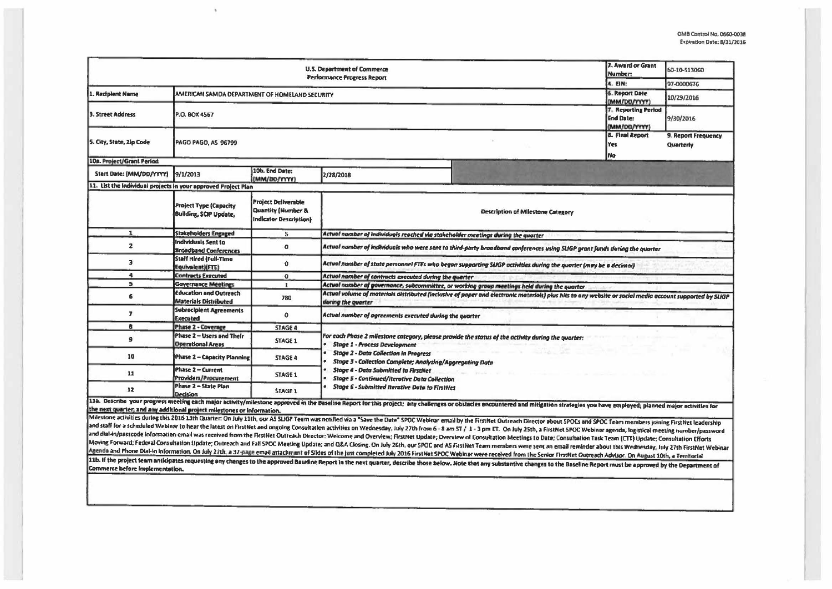| <b>U.S. Department of Commerce</b><br><b>Performance Progress Report</b> |                                                                |                                                                                       |                                                                                                                                                                                                                                                         |                                                                                                                                                                                                                                |  | 60-10-513060 |  |  |  |
|--------------------------------------------------------------------------|----------------------------------------------------------------|---------------------------------------------------------------------------------------|---------------------------------------------------------------------------------------------------------------------------------------------------------------------------------------------------------------------------------------------------------|--------------------------------------------------------------------------------------------------------------------------------------------------------------------------------------------------------------------------------|--|--------------|--|--|--|
|                                                                          | 4. EIN:<br>6. Report Date                                      | 97-0000676                                                                            |                                                                                                                                                                                                                                                         |                                                                                                                                                                                                                                |  |              |  |  |  |
| 1. Recipient Name                                                        | AMERICAN SAMOA DEPARTMENT OF HOMELAND SECURITY                 |                                                                                       |                                                                                                                                                                                                                                                         |                                                                                                                                                                                                                                |  | 10/29/2016   |  |  |  |
| 3. Street Address                                                        | P.O. BOX 4567                                                  | 7. Reporting Period<br><b>End Date:</b><br>(MM/DD/YYYY)                               | 9/30/2016                                                                                                                                                                                                                                               |                                                                                                                                                                                                                                |  |              |  |  |  |
| S. City, State, Zip Code                                                 | <b>PAGO PAGO, AS 96799</b>                                     | <b>8. Final Report</b><br>Yes<br>No                                                   | 9. Report Frequency<br>Quarterly                                                                                                                                                                                                                        |                                                                                                                                                                                                                                |  |              |  |  |  |
| 10a. Project/Grant Period                                                |                                                                |                                                                                       |                                                                                                                                                                                                                                                         |                                                                                                                                                                                                                                |  |              |  |  |  |
| Start Date: {MM/DD/YYYY}                                                 | 9/1/2013                                                       | 10b. End Date:<br>(MM/DD/YYYY)                                                        | 2/28/2018                                                                                                                                                                                                                                               |                                                                                                                                                                                                                                |  |              |  |  |  |
| 11. List the individual projects in your approved Project Plan           |                                                                |                                                                                       |                                                                                                                                                                                                                                                         |                                                                                                                                                                                                                                |  |              |  |  |  |
|                                                                          | <b>Project Type (Capacity</b><br><b>Building, SCIP Update,</b> | <b>Project Deliverable</b><br><b>Quantity (Number &amp;</b><br>Indicator Description) |                                                                                                                                                                                                                                                         | Description of Milestone Category                                                                                                                                                                                              |  |              |  |  |  |
| $\mathbf{1}$                                                             | <b>Stakeholders Engaged</b>                                    | 5                                                                                     | Actual number of individuals reached via stakeholder meetings during the quarter                                                                                                                                                                        |                                                                                                                                                                                                                                |  |              |  |  |  |
| $\mathbf{z}$                                                             | Individuals Sent to<br><b>Broadband Conferences</b>            | $\Omega$                                                                              | Actual number of individuals who were sent to third-party broadband conferences using SLIGP grant funds during the quorter                                                                                                                              |                                                                                                                                                                                                                                |  |              |  |  |  |
| 3                                                                        | <b>Staff Hired (Full-Time</b><br>Equivalent) (FTE)             | $\mathbf{0}$                                                                          | Actual number of state personnel FTEs who begon supporting SLIGP activities during the quarter (may be a decimal)                                                                                                                                       |                                                                                                                                                                                                                                |  |              |  |  |  |
| $\ddot{\phantom{a}}$                                                     | <b>Contracts Executed</b>                                      | $\mathbf{0}$                                                                          | Actual number of contracts executed during the quarter                                                                                                                                                                                                  |                                                                                                                                                                                                                                |  |              |  |  |  |
| 5                                                                        | <b>Governance Meetings</b>                                     | $\mathbf{I}$                                                                          | Actual number of governance, subcommittee, or working group meetings held during the quarter                                                                                                                                                            |                                                                                                                                                                                                                                |  |              |  |  |  |
| 6                                                                        | <b>Education and Outreach</b><br>Materials Distributed         | 780                                                                                   | Actual volume of materials distributed (inclusive of poper and electronic materials) plus hits to any website or social media account supported by SLIGP<br>during the quarter                                                                          |                                                                                                                                                                                                                                |  |              |  |  |  |
| $\overline{\mathbf{z}}$                                                  | <b>Subrecipient Agreements</b><br><b>Executed</b>              | 0                                                                                     | Actual number of agreements executed during the quarter                                                                                                                                                                                                 |                                                                                                                                                                                                                                |  |              |  |  |  |
| B.                                                                       | <b>Phase 2 - Coverage</b>                                      | <b>STAGE 4</b>                                                                        |                                                                                                                                                                                                                                                         |                                                                                                                                                                                                                                |  |              |  |  |  |
| 9                                                                        | Phase 2 - Users and Their<br><b>Operational Areas</b>          | STAGE 1                                                                               | For each Phase 2 milestone category, please pravide the status of the activity during the quorter:<br><b>Stage 1 - Process Development</b><br><b>Stage 2 - Data Collection in Progress</b><br>Stage 3 - Collection Complete; Analyzing/Aggregating Data |                                                                                                                                                                                                                                |  |              |  |  |  |
| 10                                                                       | <b>Phase 2 - Capacity Planning</b>                             | <b>STAGE 4</b>                                                                        |                                                                                                                                                                                                                                                         |                                                                                                                                                                                                                                |  |              |  |  |  |
| 11                                                                       | Phase 2 - Current<br>Providers/Procurement                     | STAGE 1                                                                               | <b>Stage 4 - Data Submitted to FirstNet</b><br><b>Stoge 5 - Continued/Iterative Data Collection</b>                                                                                                                                                     |                                                                                                                                                                                                                                |  |              |  |  |  |
| 12                                                                       | Phase 2 - State Plan<br>Decision                               | <b>STAGE 1</b>                                                                        | <b>Stage 6 - Submitted Iterative Data to FirstNet</b>                                                                                                                                                                                                   |                                                                                                                                                                                                                                |  |              |  |  |  |
|                                                                          |                                                                |                                                                                       |                                                                                                                                                                                                                                                         | 11a. Describe your progress meeting each major activity/milestone approved in the Baseline Report for this project; any challenges or obstacles encountered and mitigation strategies you have employed; planned major activit |  |              |  |  |  |
| the next quarter; and any additional project milestones or information.  |                                                                |                                                                                       |                                                                                                                                                                                                                                                         |                                                                                                                                                                                                                                |  |              |  |  |  |
|                                                                          |                                                                |                                                                                       |                                                                                                                                                                                                                                                         | Milestone activities during this 2016 13th Quarter: On July 11th, our AS SUGP Team was notified via a "Save the Date" SPOC Webinar email by the FirstNet Outreach Director about SPOCs and SPOC Team members joining FirstNet  |  |              |  |  |  |
|                                                                          |                                                                |                                                                                       |                                                                                                                                                                                                                                                         | and staff for a scheduled Webinar to hear the latest on FirstNet and ongoing Consultation activities on Wednesday, July 27th from 6 - 8 am ST / 1 - 3 pm ET. On July 25th, a FirstNet SPOC Webinar agenda, logistical meeting  |  |              |  |  |  |
|                                                                          |                                                                |                                                                                       |                                                                                                                                                                                                                                                         | and dial-in/passcode information email was received from the FirstNet Outreach Director: Welcome and Overview; FirstNet Update; Overview of Consultation Meetings to Date; Consultation Task Team (CTT) Update; Consultation E |  |              |  |  |  |
|                                                                          |                                                                |                                                                                       |                                                                                                                                                                                                                                                         | Moving Forward; Federal Consultation Update; Outreach and Fall SPOC Meeting Update; and Q&A Closing. On July 26th, our SPOC and AS FirstNet Team members were sent an email reminder about this Wednesday, July 27th FirstNet  |  |              |  |  |  |
|                                                                          |                                                                |                                                                                       |                                                                                                                                                                                                                                                         | Agenda and Phone Dial-in information. On July 27th, a 32-page email attachment of Slides of the just completed July 2016 FirstNet SPOC Webinar were received from the Senior FirstNet Outreach Advisor. On August 10th, a Terr |  |              |  |  |  |
| <b>Commerce before implementation.</b>                                   |                                                                |                                                                                       |                                                                                                                                                                                                                                                         | 11b. If the project team anticipates requesting any changes to the approved Baseline Report in the next quarter, describe those below. Note that any substantive changes to the Baseline Report must be approved by the Depart |  |              |  |  |  |
|                                                                          |                                                                |                                                                                       |                                                                                                                                                                                                                                                         |                                                                                                                                                                                                                                |  |              |  |  |  |

 $\mathbf{q}$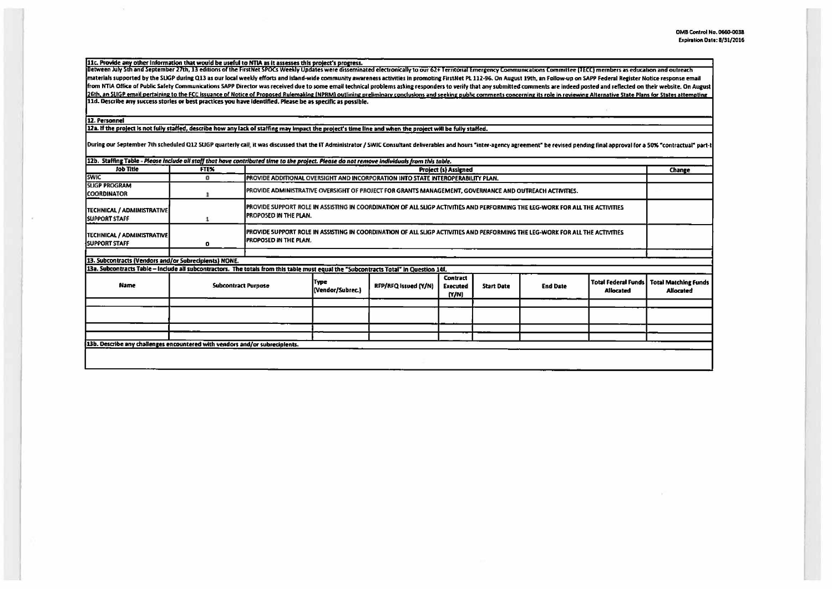11c. Provide any other information that would be useful to NTIA as it assesses this project's progress.<br>Between July 5th and September 27th, 13 editions of the FirstNet SPOCs Weekly Updates were disseminated electronically materials supported by the SLIGP during Q13 as our local weekly efforts and island-wide community awareness activities in promoting FirstNet PL 112-96. On August 19th, an Follow-up on SAPP Federal Register Notice response from NTIA Office of Public Safety Communications SAPP Director was received due to some email technical problems asking responders to verify that any submitted comments are indeed posted and reflected on their website. On 26th, an SLIGP email pertaining to the FCC issuance of Notice of Proposed Rulemaking (NPRM) outlining preliminary conclusions and seeking public comments concerning its role in reviewing Alternative State Plans for States 11d. Describe any success stories or best practices you have identified. Please be as specific as possible.

## 12. Personnel

 $\sim$ 

12a. If the project is not fully staffed, describe how any lack of staffing may impact the project's time line and when the project will be fully staffed.

During our September 7th scheduled Q12 SLIGP quarterly call, it was discussed that the IT Administrator / SWIC Consultant deliverables and hours "inter-agency agreement" be revised pending final approval for a 50% "contrac

| 12b. Staffing Table - Please include all staff that have contributed time to the project. Please do not remove individuals from this table. |                            |                                                                                                        |                                                                                                                                                               |                      |                                             |                   |                 |                                                |                                                 |
|---------------------------------------------------------------------------------------------------------------------------------------------|----------------------------|--------------------------------------------------------------------------------------------------------|---------------------------------------------------------------------------------------------------------------------------------------------------------------|----------------------|---------------------------------------------|-------------------|-----------------|------------------------------------------------|-------------------------------------------------|
| Job Title                                                                                                                                   | FTEX.                      | <b>Project (s) Assigned</b>                                                                            |                                                                                                                                                               |                      |                                             |                   |                 |                                                | Change                                          |
| <b>SWIC</b>                                                                                                                                 | o                          |                                                                                                        | PROVIDE ADDITIONAL OVERSIGHT AND INCORPORATION INTO STATE INTEROPERABILITY PLAN.                                                                              |                      |                                             |                   |                 |                                                |                                                 |
| <b>SLIGP PROGRAM</b><br><b>COORDINATOR</b>                                                                                                  |                            | PROVIDE ADMINISTRATIVE OVERSIGHT OF PROJECT FOR GRANTS MANAGEMENT, GOVERNANCE AND OUTREACH ACTIVITIES. |                                                                                                                                                               |                      |                                             |                   |                 |                                                |                                                 |
| TECHNICAL / ADMINISTRATIVE<br><b>SUPPORT STAFF</b>                                                                                          |                            |                                                                                                        | PROVIDE SUPPORT ROLE IN ASSISTING IN COORDINATION OF ALL SLIGP ACTIVITIES AND PERFORMING THE LEG-WORK FOR ALL THE ACTIVITIES<br><b>IPROPOSED IN THE PLAN.</b> |                      |                                             |                   |                 |                                                |                                                 |
| <b>TECHNICAL / ADMINISTRATIVE</b><br><b>SUPPORT STAFF</b>                                                                                   | o                          |                                                                                                        | PROVIDE SUPPORT ROLE IN ASSISTING IN COORDINATION OF ALL SLIGP ACTIVITIES AND PERFORMING THE LEG-WORK FOR ALL THE ACTIVITIES<br><b>IPROPOSED IN THE PLAN.</b> |                      |                                             |                   |                 |                                                |                                                 |
| 13. Subcontracts (Vendors and/or Subrecipients) NONE.                                                                                       |                            |                                                                                                        |                                                                                                                                                               |                      |                                             |                   |                 |                                                |                                                 |
| 13a. Subcontracts Table - Include all subcontractors. The totals from this table must equal the "Subcontracts Total" in Question 14f.       |                            |                                                                                                        |                                                                                                                                                               |                      |                                             |                   |                 |                                                |                                                 |
| Name                                                                                                                                        | <b>Subcontract Purpose</b> |                                                                                                        | Type<br>(Vendor/Subrec.)                                                                                                                                      | RFP/RFQ Issued (Y/N) | <b>Contract</b><br><b>Executed</b><br>(N/N) | <b>Start Date</b> | <b>End Date</b> | <b>Total Federal Funds</b><br><b>Allocated</b> | <b>Total Matching Funds</b><br><b>Allocated</b> |
|                                                                                                                                             |                            |                                                                                                        |                                                                                                                                                               |                      |                                             |                   |                 |                                                |                                                 |
|                                                                                                                                             |                            |                                                                                                        |                                                                                                                                                               |                      |                                             |                   |                 |                                                |                                                 |
| 13b. Describe any challenges encountered with vendors and/or subrecipients.                                                                 |                            |                                                                                                        |                                                                                                                                                               |                      |                                             |                   |                 |                                                |                                                 |
|                                                                                                                                             |                            |                                                                                                        |                                                                                                                                                               |                      |                                             |                   |                 |                                                |                                                 |
|                                                                                                                                             |                            |                                                                                                        |                                                                                                                                                               |                      |                                             |                   |                 |                                                |                                                 |